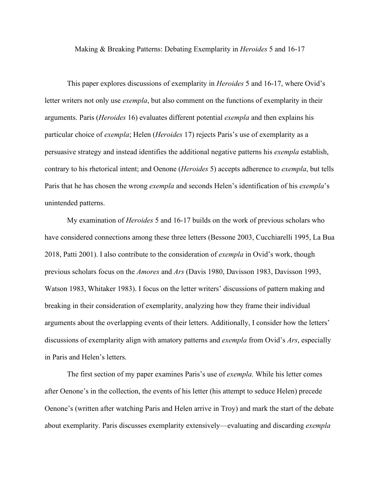Making & Breaking Patterns: Debating Exemplarity in *Heroides* 5 and 16-17

This paper explores discussions of exemplarity in *Heroides* 5 and 16-17, where Ovid's letter writers not only use *exempla*, but also comment on the functions of exemplarity in their arguments. Paris (*Heroides* 16) evaluates different potential *exempla* and then explains his particular choice of *exempla*; Helen (*Heroides* 17) rejects Paris's use of exemplarity as a persuasive strategy and instead identifies the additional negative patterns his *exempla* establish, contrary to his rhetorical intent; and Oenone (*Heroides* 5) accepts adherence to *exempla*, but tells Paris that he has chosen the wrong *exempla* and seconds Helen's identification of his *exempla*'s unintended patterns.

My examination of *Heroides* 5 and 16-17 builds on the work of previous scholars who have considered connections among these three letters (Bessone 2003, Cucchiarelli 1995, La Bua 2018, Patti 2001). I also contribute to the consideration of *exempla* in Ovid's work, though previous scholars focus on the *Amores* and *Ars* (Davis 1980, Davisson 1983, Davisson 1993, Watson 1983, Whitaker 1983). I focus on the letter writers' discussions of pattern making and breaking in their consideration of exemplarity, analyzing how they frame their individual arguments about the overlapping events of their letters. Additionally, I consider how the letters' discussions of exemplarity align with amatory patterns and *exempla* from Ovid's *Ars*, especially in Paris and Helen's letters.

The first section of my paper examines Paris's use of *exempla*. While his letter comes after Oenone's in the collection, the events of his letter (his attempt to seduce Helen) precede Oenone's (written after watching Paris and Helen arrive in Troy) and mark the start of the debate about exemplarity. Paris discusses exemplarity extensively—evaluating and discarding *exempla*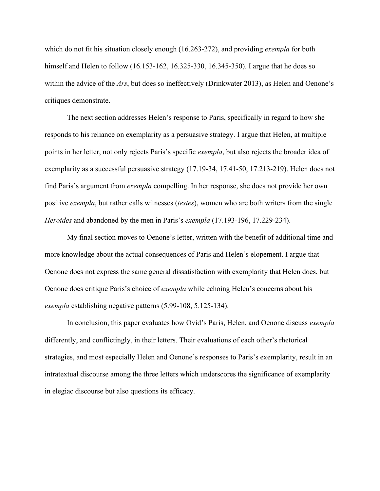which do not fit his situation closely enough (16.263-272), and providing *exempla* for both himself and Helen to follow (16.153-162, 16.325-330, 16.345-350). I argue that he does so within the advice of the *Ars*, but does so ineffectively (Drinkwater 2013), as Helen and Oenone's critiques demonstrate.

The next section addresses Helen's response to Paris, specifically in regard to how she responds to his reliance on exemplarity as a persuasive strategy. I argue that Helen, at multiple points in her letter, not only rejects Paris's specific *exempla*, but also rejects the broader idea of exemplarity as a successful persuasive strategy (17.19-34, 17.41-50, 17.213-219). Helen does not find Paris's argument from *exempla* compelling. In her response, she does not provide her own positive *exempla*, but rather calls witnesses (*testes*), women who are both writers from the single *Heroides* and abandoned by the men in Paris's *exempla* (17.193-196, 17.229-234).

My final section moves to Oenone's letter, written with the benefit of additional time and more knowledge about the actual consequences of Paris and Helen's elopement. I argue that Oenone does not express the same general dissatisfaction with exemplarity that Helen does, but Oenone does critique Paris's choice of *exempla* while echoing Helen's concerns about his *exempla* establishing negative patterns (5.99-108, 5.125-134).

In conclusion, this paper evaluates how Ovid's Paris, Helen, and Oenone discuss *exempla* differently, and conflictingly, in their letters. Their evaluations of each other's rhetorical strategies, and most especially Helen and Oenone's responses to Paris's exemplarity, result in an intratextual discourse among the three letters which underscores the significance of exemplarity in elegiac discourse but also questions its efficacy.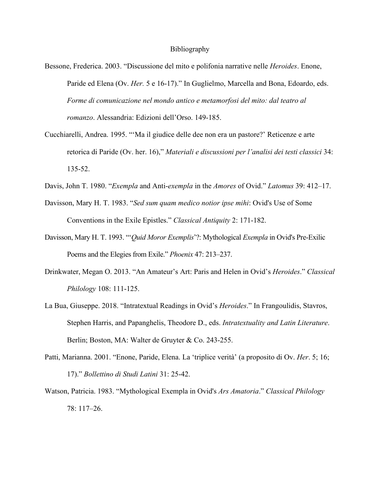## Bibliography

- Bessone, Frederica. 2003. "Discussione del mito e polifonia narrative nelle *Heroides*. Enone, Paride ed Elena (Ov. *Her.* 5 e 16-17)." In Guglielmo, Marcella and Bona, Edoardo, eds. *Forme di comunicazione nel mondo antico e metamorfosi del mito: dal teatro al romanzo*. Alessandria: Edizioni dell'Orso. 149-185.
- Cucchiarelli, Andrea. 1995. "'Ma il giudice delle dee non era un pastore?' Reticenze e arte retorica di Paride (Ov. her. 16)," *Materiali e discussioni per l'analisi dei testi classici* 34: 135-52.
- Davis, John T. 1980. "*Exempla* and Anti-*exempla* in the *Amores* of Ovid." *Latomus* 39: 412–17.
- Davisson, Mary H. T. 1983. "*Sed sum quam medico notior ipse mihi*: Ovid's Use of Some Conventions in the Exile Epistles." *Classical Antiquity* 2: 171-182.
- Davisson, Mary H. T. 1993. "'*Quid Moror Exemplis*'?: Mythological *Exempla* in Ovid's Pre-Exilic Poems and the Elegies from Exile." *Phoenix* 47: 213–237.
- Drinkwater, Megan O. 2013. "An Amateur's Art: Paris and Helen in Ovid's *Heroides*." *Classical Philology* 108: 111-125.
- La Bua, Giuseppe. 2018. "Intratextual Readings in Ovid's *Heroides*." In Frangoulidis, Stavros, Stephen Harris, and Papanghelis, Theodore D., eds. *Intratextuality and Latin Literature*. Berlin; Boston, MA: Walter de Gruyter & Co. 243-255.
- Patti, Marianna. 2001. "Enone, Paride, Elena. La 'triplice verità' (a proposito di Ov. *Her*. 5; 16; 17)." *Bollettino di Studi Latini* 31: 25-42.
- Watson, Patricia. 1983. "Mythological Exempla in Ovid's *Ars Amatoria*." *Classical Philology* 78: 117–26.